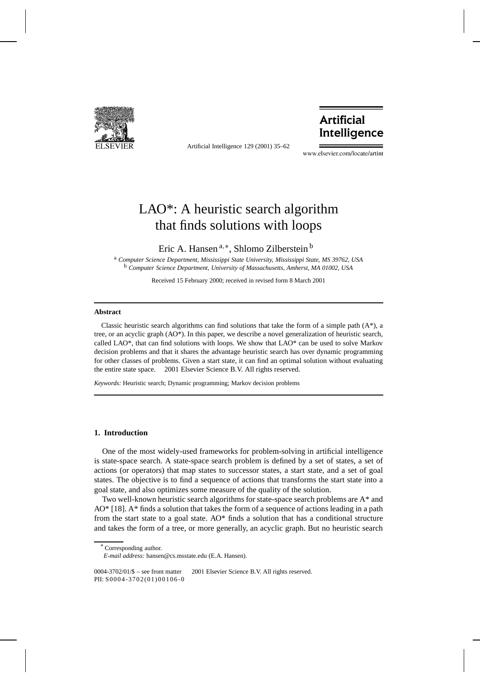

Artificial Intelligence 129 (2001) 35–62



www.elsevier.com/locate/artint

# LAO\*: A heuristic search algorithm that finds solutions with loops

Eric A. Hansen <sup>a</sup>*,*∗, Shlomo Zilberstein <sup>b</sup>

<sup>a</sup> *Computer Science Department, Mississippi State University, Mississippi State, MS 39762, USA* <sup>b</sup> *Computer Science Department, University of Massachusetts, Amherst, MA 01002, USA*

Received 15 February 2000; received in revised form 8 March 2001

## **Abstract**

Classic heuristic search algorithms can find solutions that take the form of a simple path  $(A^*)$ , a tree, or an acyclic graph (AO\*). In this paper, we describe a novel generalization of heuristic search, called LAO\*, that can find solutions with loops. We show that LAO\* can be used to solve Markov decision problems and that it shares the advantage heuristic search has over dynamic programming for other classes of problems. Given a start state, it can find an optimal solution without evaluating the entire state space.  $© 2001$  Elsevier Science B.V. All rights reserved.

*Keywords:* Heuristic search; Dynamic programming; Markov decision problems

# **1. Introduction**

One of the most widely-used frameworks for problem-solving in artificial intelligence is state-space search. A state-space search problem is defined by a set of states, a set of actions (or operators) that map states to successor states, a start state, and a set of goal states. The objective is to find a sequence of actions that transforms the start state into a goal state, and also optimizes some measure of the quality of the solution.

Two well-known heuristic search algorithms for state-space search problems are  $A^*$  and AO\* [18]. A\* finds a solution that takes the form of a sequence of actions leading in a path from the start state to a goal state.  $AO*$  finds a solution that has a conditional structure and takes the form of a tree, or more generally, an acyclic graph. But no heuristic search

Corresponding author.

*E-mail address:* hansen@cs.msstate.edu (E.A. Hansen).

<sup>0004-3702/01/\$ –</sup> see front matter  $\degree$  2001 Elsevier Science B.V. All rights reserved. PII: S0004-3702(01)00106-0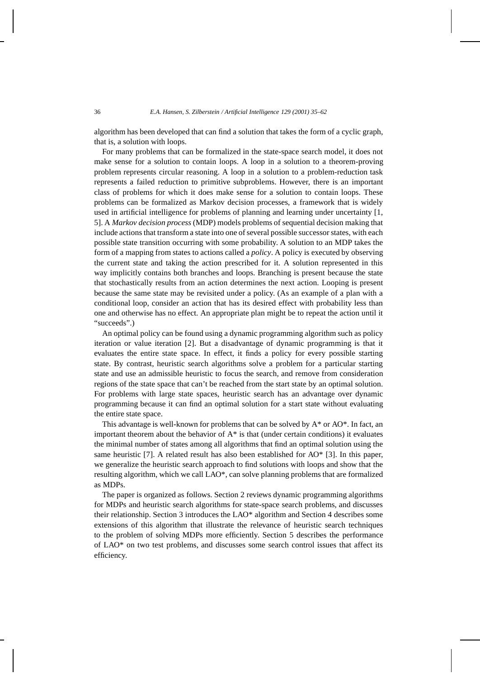algorithm has been developed that can find a solution that takes the form of a cyclic graph, that is, a solution with loops.

For many problems that can be formalized in the state-space search model, it does not make sense for a solution to contain loops. A loop in a solution to a theorem-proving problem represents circular reasoning. A loop in a solution to a problem-reduction task represents a failed reduction to primitive subproblems. However, there is an important class of problems for which it does make sense for a solution to contain loops. These problems can be formalized as Markov decision processes, a framework that is widely used in artificial intelligence for problems of planning and learning under uncertainty [1, 5]. A *Markov decision process* (MDP) models problems of sequential decision making that include actions that transform a state into one of several possible successor states, with each possible state transition occurring with some probability. A solution to an MDP takes the form of a mapping from states to actions called a *policy*. A policy is executed by observing the current state and taking the action prescribed for it. A solution represented in this way implicitly contains both branches and loops. Branching is present because the state that stochastically results from an action determines the next action. Looping is present because the same state may be revisited under a policy. (As an example of a plan with a conditional loop, consider an action that has its desired effect with probability less than one and otherwise has no effect. An appropriate plan might be to repeat the action until it "succeeds".)

An optimal policy can be found using a dynamic programming algorithm such as policy iteration or value iteration [2]. But a disadvantage of dynamic programming is that it evaluates the entire state space. In effect, it finds a policy for every possible starting state. By contrast, heuristic search algorithms solve a problem for a particular starting state and use an admissible heuristic to focus the search, and remove from consideration regions of the state space that can't be reached from the start state by an optimal solution. For problems with large state spaces, heuristic search has an advantage over dynamic programming because it can find an optimal solution for a start state without evaluating the entire state space.

This advantage is well-known for problems that can be solved by  $A^*$  or  $AO^*$ . In fact, an important theorem about the behavior of  $A^*$  is that (under certain conditions) it evaluates the minimal number of states among all algorithms that find an optimal solution using the same heuristic [7]. A related result has also been established for AO\* [3]. In this paper, we generalize the heuristic search approach to find solutions with loops and show that the resulting algorithm, which we call LAO\*, can solve planning problems that are formalized as MDPs.

The paper is organized as follows. Section 2 reviews dynamic programming algorithms for MDPs and heuristic search algorithms for state-space search problems, and discusses their relationship. Section 3 introduces the LAO\* algorithm and Section 4 describes some extensions of this algorithm that illustrate the relevance of heuristic search techniques to the problem of solving MDPs more efficiently. Section 5 describes the performance of LAO\* on two test problems, and discusses some search control issues that affect its efficiency.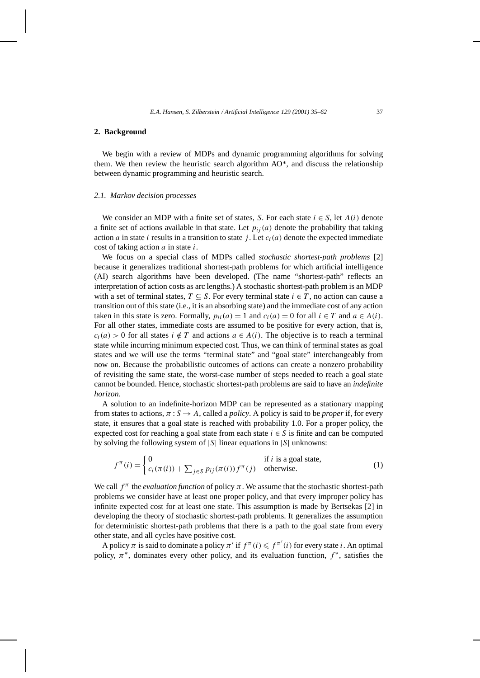## **2. Background**

We begin with a review of MDPs and dynamic programming algorithms for solving them. We then review the heuristic search algorithm AO\*, and discuss the relationship between dynamic programming and heuristic search.

### *2.1. Markov decision processes*

We consider an MDP with a finite set of states, *S*. For each state  $i \in S$ , let  $A(i)$  denote a finite set of actions available in that state. Let  $p_{ij}(a)$  denote the probability that taking action *a* in state *i* results in a transition to state *j*. Let  $c_i(a)$  denote the expected immediate cost of taking action *a* in state *i*.

We focus on a special class of MDPs called *stochastic shortest-path problems* [2] because it generalizes traditional shortest-path problems for which artificial intelligence (AI) search algorithms have been developed. (The name "shortest-path" reflects an interpretation of action costs as arc lengths.) A stochastic shortest-path problem is an MDP with a set of terminal states,  $T \subseteq S$ . For every terminal state  $i \in T$ , no action can cause a transition out of this state (i.e., it is an absorbing state) and the immediate cost of any action taken in this state is zero. Formally,  $p_{ii}(a) = 1$  and  $c_i(a) = 0$  for all  $i \in T$  and  $a \in A(i)$ . For all other states, immediate costs are assumed to be positive for every action, that is,  $c_i(a) > 0$  for all states  $i \notin T$  and actions  $a \in A(i)$ . The objective is to reach a terminal state while incurring minimum expected cost. Thus, we can think of terminal states as goal states and we will use the terms "terminal state" and "goal state" interchangeably from now on. Because the probabilistic outcomes of actions can create a nonzero probability of revisiting the same state, the worst-case number of steps needed to reach a goal state cannot be bounded. Hence, stochastic shortest-path problems are said to have an *indefinite horizon*.

A solution to an indefinite-horizon MDP can be represented as a stationary mapping from states to actions,  $\pi : S \to A$ , called a *policy*. A policy is said to be *proper* if, for every state, it ensures that a goal state is reached with probability 1.0. For a proper policy, the expected cost for reaching a goal state from each state  $i \in S$  is finite and can be computed by solving the following system of |*S*| linear equations in |*S*| unknowns:

$$
f^{\pi}(i) = \begin{cases} 0 & \text{if } i \text{ is a goal state,} \\ c_i(\pi(i)) + \sum_{j \in S} p_{ij}(\pi(i)) f^{\pi}(j) & \text{otherwise.} \end{cases}
$$
 (1)

We call  $f^{\pi}$  the *evaluation function* of policy  $\pi$ . We assume that the stochastic shortest-path problems we consider have at least one proper policy, and that every improper policy has infinite expected cost for at least one state. This assumption is made by Bertsekas [2] in developing the theory of stochastic shortest-path problems. It generalizes the assumption for deterministic shortest-path problems that there is a path to the goal state from every other state, and all cycles have positive cost.

A policy  $\pi$  is said to dominate a policy  $\pi'$  if  $f^\pi(i) \leqslant f^{\pi'}(i)$  for every state *i*. An optimal policy,  $\pi^*$ , dominates every other policy, and its evaluation function,  $f^*$ , satisfies the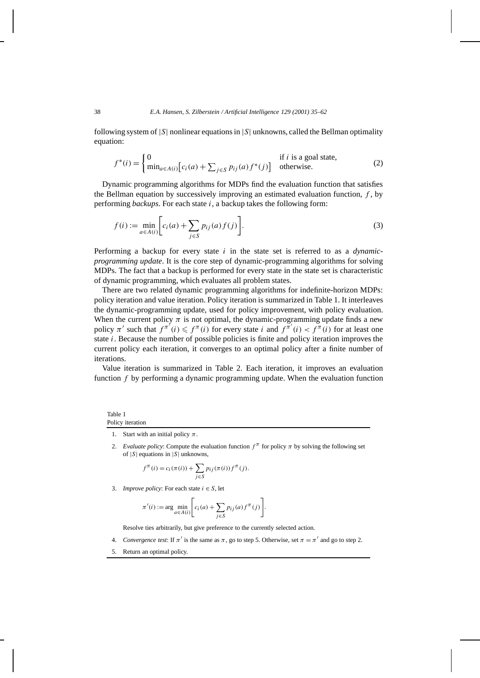following system of |*S*| nonlinear equations in |*S*| unknowns, called the Bellman optimality equation:

$$
f^*(i) = \begin{cases} 0 & \text{if } i \text{ is a goal state,} \\ \min_{a \in A(i)} \left[ c_i(a) + \sum_{j \in S} p_{ij}(a) f^*(j) \right] & \text{otherwise.} \end{cases}
$$
 (2)

Dynamic programming algorithms for MDPs find the evaluation function that satisfies the Bellman equation by successively improving an estimated evaluation function, *f* , by performing *backups*. For each state *i*, a backup takes the following form:

$$
f(i) := \min_{a \in A(i)} \bigg[ c_i(a) + \sum_{j \in S} p_{ij}(a) f(j) \bigg].
$$
 (3)

Performing a backup for every state *i* in the state set is referred to as a *dynamicprogramming update*. It is the core step of dynamic-programming algorithms for solving MDPs. The fact that a backup is performed for every state in the state set is characteristic of dynamic programming, which evaluates all problem states.

There are two related dynamic programming algorithms for indefinite-horizon MDPs: policy iteration and value iteration. Policy iteration is summarized in Table 1. It interleaves the dynamic-programming update, used for policy improvement, with policy evaluation. When the current policy  $\pi$  is not optimal, the dynamic-programming update finds a new policy  $\pi'$  such that  $f^{\pi'}(i) \leq f^{\pi}(i)$  for every state *i* and  $f^{\pi'}(i) < f^{\pi}(i)$  for at least one state *i*. Because the number of possible policies is finite and policy iteration improves the current policy each iteration, it converges to an optimal policy after a finite number of iterations.

Value iteration is summarized in Table 2. Each iteration, it improves an evaluation function *f* by performing a dynamic programming update. When the evaluation function

#### Table 1 Policy iteration

- 1. Start with an initial policy *π*.
- 2. *Evaluate policy:* Compute the evaluation function  $f^{\pi}$  for policy  $\pi$  by solving the following set of |*S*| equations in |*S*| unknowns,

$$
f^{\pi}(i) = c_i(\pi(i)) + \sum_{j \in S} p_{ij}(\pi(i)) f^{\pi}(j).
$$

3. *Improve policy:* For each state  $i \in S$ , let

$$
\pi'(i) := \arg \min_{a \in A(i)} \left[ c_i(a) + \sum_{j \in S} p_{ij}(a) f^{\pi}(j) \right].
$$

Resolve ties arbitrarily, but give preference to the currently selected action.

- 4. *Convergence test*: If  $\pi'$  is the same as  $\pi$ , go to step 5. Otherwise, set  $\pi = \pi'$  and go to step 2.
- 5. Return an optimal policy.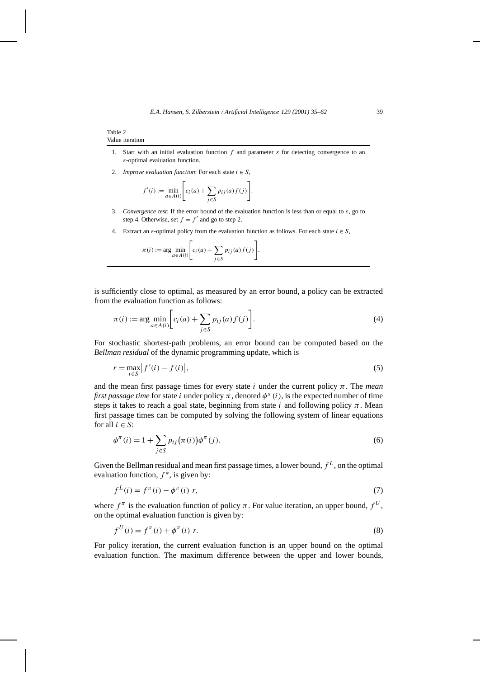#### Table 2 Value iteration

- 1. Start with an initial evaluation function  $f$  and parameter  $\varepsilon$  for detecting convergence to an *ε*-optimal evaluation function.
- 2. *Improve evaluation function*: For each state  $i \in S$ ,

$$
f'(i) := \min_{a \in A(i)} \left[ c_i(a) + \sum_{j \in S} p_{ij}(a) f(j) \right].
$$

- 3. *Convergence test*: If the error bound of the evaluation function is less than or equal to  $\varepsilon$ , go to step 4. Otherwise, set  $f = f'$  and go to step 2.
- 4. Extract an *ε*-optimal policy from the evaluation function as follows. For each state  $i \in S$ ,

$$
\pi(i) := \arg \min_{a \in A(i)} \left[ c_i(a) + \sum_{j \in S} p_{ij}(a) f(j) \right].
$$

is sufficiently close to optimal, as measured by an error bound, a policy can be extracted from the evaluation function as follows:

$$
\pi(i) := \arg \min_{a \in A(i)} \bigg[ c_i(a) + \sum_{j \in S} p_{ij}(a) f(j) \bigg]. \tag{4}
$$

For stochastic shortest-path problems, an error bound can be computed based on the *Bellman residual* of the dynamic programming update, which is

$$
r = \max_{i \in S} |f'(i) - f(i)|,\tag{5}
$$

and the mean first passage times for every state *i* under the current policy  $\pi$ . The *mean first passage time* for state *i* under policy  $\pi$ , denoted  $\phi^{\pi}(i)$ , is the expected number of time steps it takes to reach a goal state, beginning from state *i* and following policy  $\pi$ . Mean first passage times can be computed by solving the following system of linear equations for all  $i \in S$ <sup>.</sup>

$$
\phi^{\pi}(i) = 1 + \sum_{j \in S} p_{ij}(\pi(i))\phi^{\pi}(j). \tag{6}
$$

Given the Bellman residual and mean first passage times, a lower bound,  $f<sup>L</sup>$ , on the optimal evaluation function, *f* ∗, is given by:

$$
f^{L}(i) = f^{\pi}(i) - \phi^{\pi}(i) r,
$$
\n(7)

where  $f^{\pi}$  is the evaluation function of policy  $\pi$ . For value iteration, an upper bound,  $f^{U}$ , on the optimal evaluation function is given by:

$$
f^{U}(i) = f^{\pi}(i) + \phi^{\pi}(i) r.
$$
 (8)

For policy iteration, the current evaluation function is an upper bound on the optimal evaluation function. The maximum difference between the upper and lower bounds,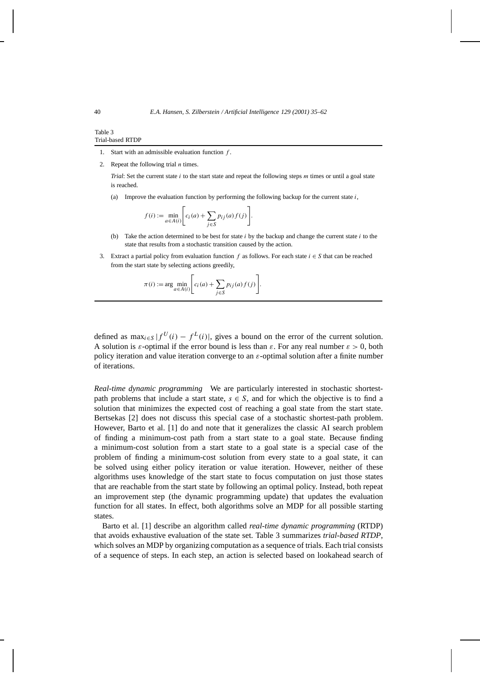## Table 3 Trial-based RTDP

- 1. Start with an admissible evaluation function *f* .
- 2. Repeat the following trial *n* times.

*Trial*: Set the current state *i* to the start state and repeat the following steps *m* times or until a goal state is reached.

(a) Improve the evaluation function by performing the following backup for the current state *i*,

$$
f(i) := \min_{a \in A(i)} \left[ c_i(a) + \sum_{j \in S} p_{ij}(a) f(j) \right].
$$

- (b) Take the action determined to be best for state  $i$  by the backup and change the current state  $i$  to the state that results from a stochastic transition caused by the action.
- 3. Extract a partial policy from evaluation function *f* as follows. For each state *i* ∈ *S* that can be reached from the start state by selecting actions greedily,

$$
\pi(i) := \arg \min_{a \in A(i)} \left[ c_i(a) + \sum_{j \in S} p_{ij}(a) f(j) \right].
$$

defined as  $\max_{i \in S} |f^{U}(i) - f^{L}(i)|$ , gives a bound on the error of the current solution. A solution is *ε*-optimal if the error bound is less than *ε*. For any real number *ε >* 0, both policy iteration and value iteration converge to an *ε*-optimal solution after a finite number of iterations.

*Real-time dynamic programming* We are particularly interested in stochastic shortestpath problems that include a start state,  $s \in S$ , and for which the objective is to find a solution that minimizes the expected cost of reaching a goal state from the start state. Bertsekas [2] does not discuss this special case of a stochastic shortest-path problem. However, Barto et al. [1] do and note that it generalizes the classic AI search problem of finding a minimum-cost path from a start state to a goal state. Because finding a minimum-cost solution from a start state to a goal state is a special case of the problem of finding a minimum-cost solution from every state to a goal state, it can be solved using either policy iteration or value iteration. However, neither of these algorithms uses knowledge of the start state to focus computation on just those states that are reachable from the start state by following an optimal policy. Instead, both repeat an improvement step (the dynamic programming update) that updates the evaluation function for all states. In effect, both algorithms solve an MDP for all possible starting states.

Barto et al. [1] describe an algorithm called *real-time dynamic programming* (RTDP) that avoids exhaustive evaluation of the state set. Table 3 summarizes *trial-based RTDP*, which solves an MDP by organizing computation as a sequence of trials. Each trial consists of a sequence of steps. In each step, an action is selected based on lookahead search of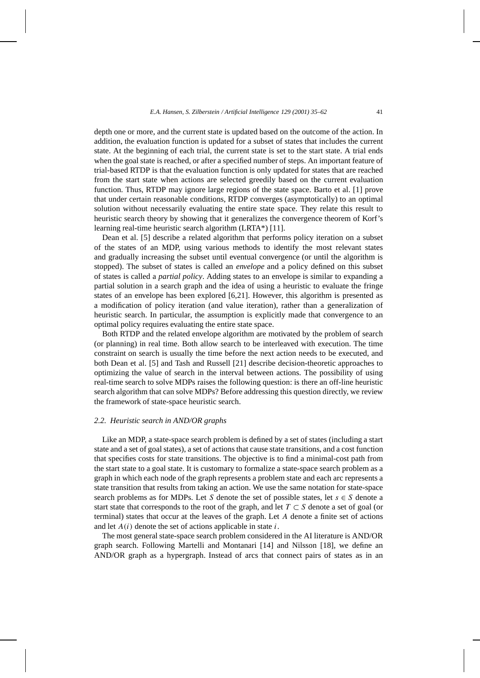depth one or more, and the current state is updated based on the outcome of the action. In addition, the evaluation function is updated for a subset of states that includes the current state. At the beginning of each trial, the current state is set to the start state. A trial ends when the goal state is reached, or after a specified number of steps. An important feature of trial-based RTDP is that the evaluation function is only updated for states that are reached from the start state when actions are selected greedily based on the current evaluation function. Thus, RTDP may ignore large regions of the state space. Barto et al. [1] prove that under certain reasonable conditions, RTDP converges (asymptotically) to an optimal solution without necessarily evaluating the entire state space. They relate this result to heuristic search theory by showing that it generalizes the convergence theorem of Korf's learning real-time heuristic search algorithm (LRTA\*) [11].

Dean et al. [5] describe a related algorithm that performs policy iteration on a subset of the states of an MDP, using various methods to identify the most relevant states and gradually increasing the subset until eventual convergence (or until the algorithm is stopped). The subset of states is called an *envelope* and a policy defined on this subset of states is called a *partial policy*. Adding states to an envelope is similar to expanding a partial solution in a search graph and the idea of using a heuristic to evaluate the fringe states of an envelope has been explored [6,21]. However, this algorithm is presented as a modification of policy iteration (and value iteration), rather than a generalization of heuristic search. In particular, the assumption is explicitly made that convergence to an optimal policy requires evaluating the entire state space.

Both RTDP and the related envelope algorithm are motivated by the problem of search (or planning) in real time. Both allow search to be interleaved with execution. The time constraint on search is usually the time before the next action needs to be executed, and both Dean et al. [5] and Tash and Russell [21] describe decision-theoretic approaches to optimizing the value of search in the interval between actions. The possibility of using real-time search to solve MDPs raises the following question: is there an off-line heuristic search algorithm that can solve MDPs? Before addressing this question directly, we review the framework of state-space heuristic search.

### *2.2. Heuristic search in AND/OR graphs*

Like an MDP, a state-space search problem is defined by a set of states (including a start state and a set of goal states), a set of actions that cause state transitions, and a cost function that specifies costs for state transitions. The objective is to find a minimal-cost path from the start state to a goal state. It is customary to formalize a state-space search problem as a graph in which each node of the graph represents a problem state and each arc represents a state transition that results from taking an action. We use the same notation for state-space search problems as for MDPs. Let *S* denote the set of possible states, let  $s \in S$  denote a start state that corresponds to the root of the graph, and let  $T \subset S$  denote a set of goal (or terminal) states that occur at the leaves of the graph. Let *A* denote a finite set of actions and let *A(i)* denote the set of actions applicable in state *i*.

The most general state-space search problem considered in the AI literature is AND/OR graph search. Following Martelli and Montanari [14] and Nilsson [18], we define an AND/OR graph as a hypergraph. Instead of arcs that connect pairs of states as in an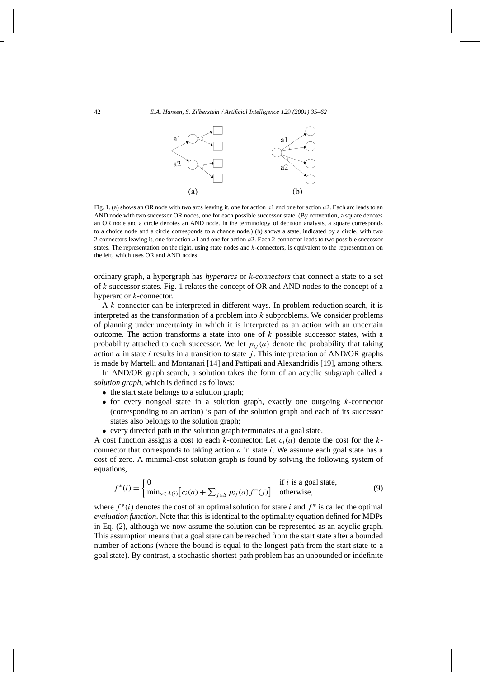

Fig. 1. (a) shows an OR node with two arcs leaving it, one for action *a*1 and one for action *a*2. Each arc leads to an AND node with two successor OR nodes, one for each possible successor state. (By convention, a square denotes an OR node and a circle denotes an AND node. In the terminology of decision analysis, a square corresponds to a choice node and a circle corresponds to a chance node.) (b) shows a state, indicated by a circle, with two 2-connectors leaving it, one for action *a*1 and one for action *a*2. Each 2-connector leads to two possible successor states. The representation on the right, using state nodes and *k*-connectors, is equivalent to the representation on the left, which uses OR and AND nodes.

ordinary graph, a hypergraph has *hyperarcs* or *k-connectors* that connect a state to a set of *k* successor states. Fig. 1 relates the concept of OR and AND nodes to the concept of a hyperarc or *k*-connector.

A *k*-connector can be interpreted in different ways. In problem-reduction search, it is interpreted as the transformation of a problem into *k* subproblems. We consider problems of planning under uncertainty in which it is interpreted as an action with an uncertain outcome. The action transforms a state into one of *k* possible successor states, with a probability attached to each successor. We let  $p_{ij}(a)$  denote the probability that taking action  $a$  in state  $i$  results in a transition to state  $j$ . This interpretation of AND/OR graphs is made by Martelli and Montanari [14] and Pattipati and Alexandridis [19], among others.

In AND/OR graph search, a solution takes the form of an acyclic subgraph called a *solution graph*, which is defined as follows:

- the start state belongs to a solution graph;
- for every nongoal state in a solution graph, exactly one outgoing *k*-connector (corresponding to an action) is part of the solution graph and each of its successor states also belongs to the solution graph;
- every directed path in the solution graph terminates at a goal state.

A cost function assigns a cost to each *k*-connector. Let  $c_i(a)$  denote the cost for the *k*connector that corresponds to taking action  $a$  in state  $i$ . We assume each goal state has a cost of zero. A minimal-cost solution graph is found by solving the following system of equations,

$$
f^*(i) = \begin{cases} 0 & \text{if } i \text{ is a goal state,} \\ \min_{a \in A(i)} \left[ c_i(a) + \sum_{j \in S} p_{ij}(a) f^*(j) \right] & \text{otherwise,} \end{cases}
$$
(9)

where  $f^*(i)$  denotes the cost of an optimal solution for state *i* and  $f^*$  is called the optimal *evaluation function*. Note that this is identical to the optimality equation defined for MDPs in Eq. (2), although we now assume the solution can be represented as an acyclic graph. This assumption means that a goal state can be reached from the start state after a bounded number of actions (where the bound is equal to the longest path from the start state to a goal state). By contrast, a stochastic shortest-path problem has an unbounded or indefinite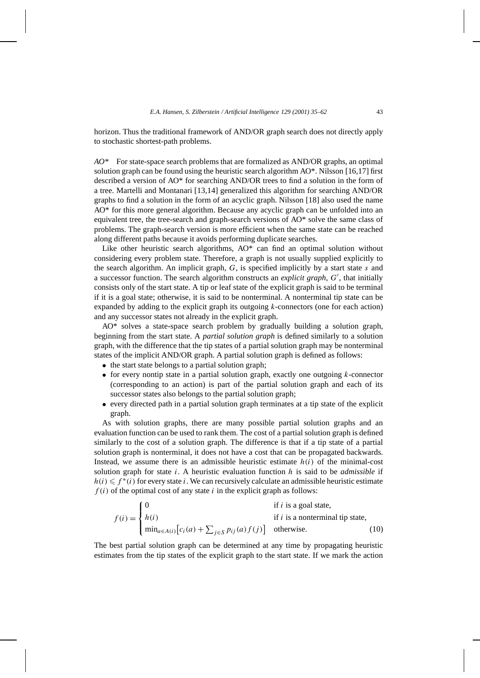horizon. Thus the traditional framework of AND/OR graph search does not directly apply to stochastic shortest-path problems.

*AO\** For state-space search problems that are formalized as AND/OR graphs, an optimal solution graph can be found using the heuristic search algorithm  $AO^*$ . Nilsson [16,17] first described a version of AO\* for searching AND/OR trees to find a solution in the form of a tree. Martelli and Montanari [13,14] generalized this algorithm for searching AND/OR graphs to find a solution in the form of an acyclic graph. Nilsson [18] also used the name AO\* for this more general algorithm. Because any acyclic graph can be unfolded into an equivalent tree, the tree-search and graph-search versions of AO\* solve the same class of problems. The graph-search version is more efficient when the same state can be reached along different paths because it avoids performing duplicate searches.

Like other heuristic search algorithms,  $AO^*$  can find an optimal solution without considering every problem state. Therefore, a graph is not usually supplied explicitly to the search algorithm. An implicit graph, *G*, is specified implicitly by a start state *s* and a successor function. The search algorithm constructs an *explicit graph*, *G* , that initially consists only of the start state. A tip or leaf state of the explicit graph is said to be terminal if it is a goal state; otherwise, it is said to be nonterminal. A nonterminal tip state can be expanded by adding to the explicit graph its outgoing *k*-connectors (one for each action) and any successor states not already in the explicit graph.

AO\* solves a state-space search problem by gradually building a solution graph, beginning from the start state. A *partial solution graph* is defined similarly to a solution graph, with the difference that the tip states of a partial solution graph may be nonterminal states of the implicit AND/OR graph. A partial solution graph is defined as follows:

- the start state belongs to a partial solution graph;
- for every nontip state in a partial solution graph, exactly one outgoing *k*-connector (corresponding to an action) is part of the partial solution graph and each of its successor states also belongs to the partial solution graph;
- every directed path in a partial solution graph terminates at a tip state of the explicit graph.

As with solution graphs, there are many possible partial solution graphs and an evaluation function can be used to rank them. The cost of a partial solution graph is defined similarly to the cost of a solution graph. The difference is that if a tip state of a partial solution graph is nonterminal, it does not have a cost that can be propagated backwards. Instead, we assume there is an admissible heuristic estimate  $h(i)$  of the minimal-cost solution graph for state *i*. A heuristic evaluation function *h* is said to be *admissible* if  $h(i) \leq f^*(i)$  for every state *i*. We can recursively calculate an admissible heuristic estimate  $f(i)$  of the optimal cost of any state  $i$  in the explicit graph as follows:

$$
f(i) = \begin{cases} 0 & \text{if } i \text{ is a goal state,} \\ h(i) & \text{if } i \text{ is a nonterminal tip state,} \\ \min_{a \in A(i)} [c_i(a) + \sum_{j \in S} p_{ij}(a) f(j)] & \text{otherwise.} \end{cases}
$$
(10)

The best partial solution graph can be determined at any time by propagating heuristic estimates from the tip states of the explicit graph to the start state. If we mark the action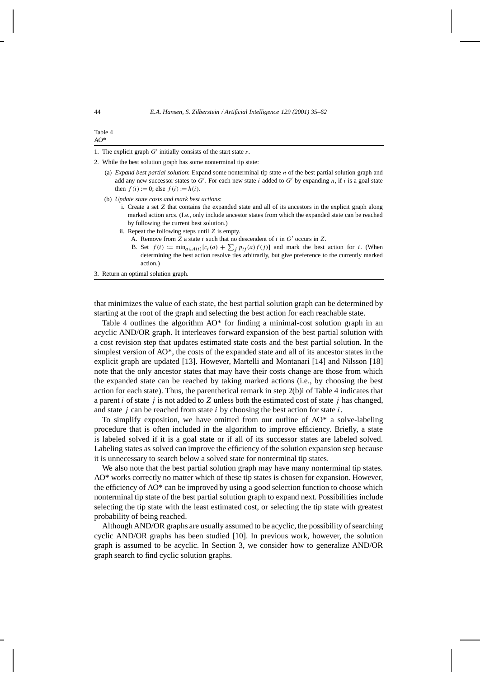#### Table 4  $AO*$

1. The explicit graph  $G'$  initially consists of the start state  $s$ .

- 2. While the best solution graph has some nonterminal tip state:
	- (a) *Expand best partial solution*: Expand some nonterminal tip state *n* of the best partial solution graph and add any new successor states to  $G'$ . For each new state *i* added to  $G'$  by expanding *n*, if *i* is a goal state then  $f(i) := 0$ ; else  $f(i) := h(i)$ .
	- (b) *Update state costs and mark best actions*:
		- i. Create a set *Z* that contains the expanded state and all of its ancestors in the explicit graph along marked action arcs. (I.e., only include ancestor states from which the expanded state can be reached by following the current best solution.)
		- ii. Repeat the following steps until *Z* is empty.
			- A. Remove from  $Z$  a state  $i$  such that no descendent of  $i$  in  $G'$  occurs in  $Z$ .
			- B. Set  $f(i) := \min_{a \in A(i)} [c_i(a) + \sum_j p_{ij}(a) f(j)]$  and mark the best action for *i*. (When determining the best action resolve ties arbitrarily, but give preference to the currently marked action.)

that minimizes the value of each state, the best partial solution graph can be determined by starting at the root of the graph and selecting the best action for each reachable state.

Table 4 outlines the algorithm  $AO^*$  for finding a minimal-cost solution graph in an acyclic AND/OR graph. It interleaves forward expansion of the best partial solution with a cost revision step that updates estimated state costs and the best partial solution. In the simplest version of AO\*, the costs of the expanded state and all of its ancestor states in the explicit graph are updated [13]. However, Martelli and Montanari [14] and Nilsson [18] note that the only ancestor states that may have their costs change are those from which the expanded state can be reached by taking marked actions (i.e., by choosing the best action for each state). Thus, the parenthetical remark in step 2(b)i of Table 4 indicates that a parent *i* of state *j* is not added to *Z* unless both the estimated cost of state *j* has changed, and state *j* can be reached from state *i* by choosing the best action for state *i*.

To simplify exposition, we have omitted from our outline of  $AO^*$  a solve-labeling procedure that is often included in the algorithm to improve efficiency. Briefly, a state is labeled solved if it is a goal state or if all of its successor states are labeled solved. Labeling states as solved can improve the efficiency of the solution expansion step because it is unnecessary to search below a solved state for nonterminal tip states.

We also note that the best partial solution graph may have many nonterminal tip states. AO\* works correctly no matter which of these tip states is chosen for expansion. However, the efficiency of AO\* can be improved by using a good selection function to choose which nonterminal tip state of the best partial solution graph to expand next. Possibilities include selecting the tip state with the least estimated cost, or selecting the tip state with greatest probability of being reached.

Although AND/OR graphs are usually assumed to be acyclic, the possibility of searching cyclic AND/OR graphs has been studied [10]. In previous work, however, the solution graph is assumed to be acyclic. In Section 3, we consider how to generalize AND/OR graph search to find cyclic solution graphs.

<sup>3.</sup> Return an optimal solution graph.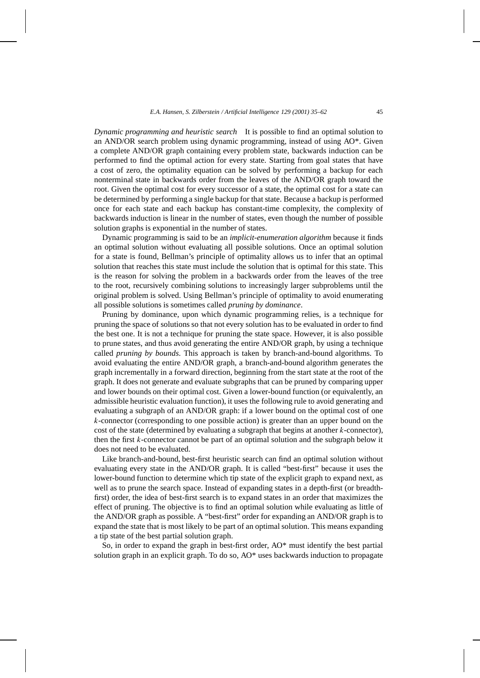*Dynamic programming and heuristic search* It is possible to find an optimal solution to an AND/OR search problem using dynamic programming, instead of using AO\*. Given a complete AND/OR graph containing every problem state, backwards induction can be performed to find the optimal action for every state. Starting from goal states that have a cost of zero, the optimality equation can be solved by performing a backup for each nonterminal state in backwards order from the leaves of the AND/OR graph toward the root. Given the optimal cost for every successor of a state, the optimal cost for a state can be determined by performing a single backup for that state. Because a backup is performed once for each state and each backup has constant-time complexity, the complexity of backwards induction is linear in the number of states, even though the number of possible solution graphs is exponential in the number of states.

Dynamic programming is said to be an *implicit-enumeration algorithm* because it finds an optimal solution without evaluating all possible solutions. Once an optimal solution for a state is found, Bellman's principle of optimality allows us to infer that an optimal solution that reaches this state must include the solution that is optimal for this state. This is the reason for solving the problem in a backwards order from the leaves of the tree to the root, recursively combining solutions to increasingly larger subproblems until the original problem is solved. Using Bellman's principle of optimality to avoid enumerating all possible solutions is sometimes called *pruning by dominance*.

Pruning by dominance, upon which dynamic programming relies, is a technique for pruning the space of solutions so that not every solution has to be evaluated in order to find the best one. It is not a technique for pruning the state space. However, it is also possible to prune states, and thus avoid generating the entire AND/OR graph, by using a technique called *pruning by bounds*. This approach is taken by branch-and-bound algorithms. To avoid evaluating the entire AND/OR graph, a branch-and-bound algorithm generates the graph incrementally in a forward direction, beginning from the start state at the root of the graph. It does not generate and evaluate subgraphs that can be pruned by comparing upper and lower bounds on their optimal cost. Given a lower-bound function (or equivalently, an admissible heuristic evaluation function), it uses the following rule to avoid generating and evaluating a subgraph of an AND/OR graph: if a lower bound on the optimal cost of one *k*-connector (corresponding to one possible action) is greater than an upper bound on the cost of the state (determined by evaluating a subgraph that begins at another *k*-connector), then the first *k*-connector cannot be part of an optimal solution and the subgraph below it does not need to be evaluated.

Like branch-and-bound, best-first heuristic search can find an optimal solution without evaluating every state in the AND/OR graph. It is called "best-first" because it uses the lower-bound function to determine which tip state of the explicit graph to expand next, as well as to prune the search space. Instead of expanding states in a depth-first (or breadthfirst) order, the idea of best-first search is to expand states in an order that maximizes the effect of pruning. The objective is to find an optimal solution while evaluating as little of the AND/OR graph as possible. A "best-first" order for expanding an AND/OR graph is to expand the state that is most likely to be part of an optimal solution. This means expanding a tip state of the best partial solution graph.

So, in order to expand the graph in best-first order, AO\* must identify the best partial solution graph in an explicit graph. To do so, AO\* uses backwards induction to propagate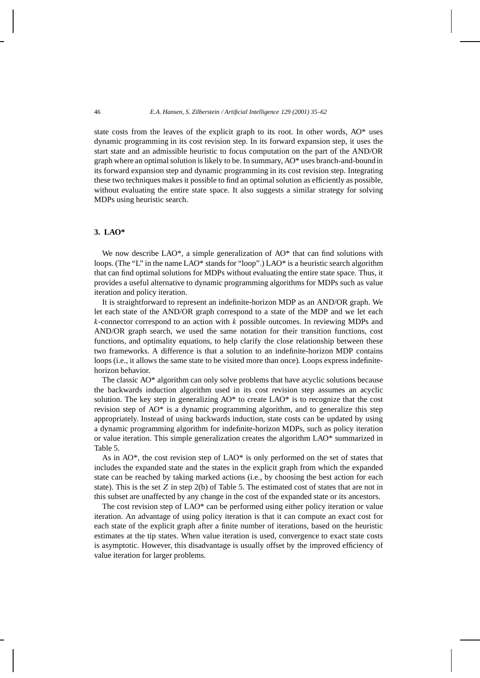state costs from the leaves of the explicit graph to its root. In other words,  $AO*$  uses dynamic programming in its cost revision step. In its forward expansion step, it uses the start state and an admissible heuristic to focus computation on the part of the AND/OR graph where an optimal solution is likely to be. In summary, AO\* uses branch-and-bound in its forward expansion step and dynamic programming in its cost revision step. Integrating these two techniques makes it possible to find an optimal solution as efficiently as possible, without evaluating the entire state space. It also suggests a similar strategy for solving MDPs using heuristic search.

# **3. LAO\***

We now describe  $LAO^*$ , a simple generalization of  $AO^*$  that can find solutions with loops. (The "L" in the name LAO\* stands for "loop".) LAO\* is a heuristic search algorithm that can find optimal solutions for MDPs without evaluating the entire state space. Thus, it provides a useful alternative to dynamic programming algorithms for MDPs such as value iteration and policy iteration.

It is straightforward to represent an indefinite-horizon MDP as an AND/OR graph. We let each state of the AND/OR graph correspond to a state of the MDP and we let each *k*-connector correspond to an action with *k* possible outcomes. In reviewing MDPs and AND/OR graph search, we used the same notation for their transition functions, cost functions, and optimality equations, to help clarify the close relationship between these two frameworks. A difference is that a solution to an indefinite-horizon MDP contains loops (i.e., it allows the same state to be visited more than once). Loops express indefinitehorizon behavior.

The classic AO\* algorithm can only solve problems that have acyclic solutions because the backwards induction algorithm used in its cost revision step assumes an acyclic solution. The key step in generalizing  $AO^*$  to create  $LAO^*$  is to recognize that the cost revision step of AO\* is a dynamic programming algorithm, and to generalize this step appropriately. Instead of using backwards induction, state costs can be updated by using a dynamic programming algorithm for indefinite-horizon MDPs, such as policy iteration or value iteration. This simple generalization creates the algorithm LAO\* summarized in Table 5.

As in  $AO^*$ , the cost revision step of  $LAO^*$  is only performed on the set of states that includes the expanded state and the states in the explicit graph from which the expanded state can be reached by taking marked actions (i.e., by choosing the best action for each state). This is the set *Z* in step 2(b) of Table 5. The estimated cost of states that are not in this subset are unaffected by any change in the cost of the expanded state or its ancestors.

The cost revision step of LAO\* can be performed using either policy iteration or value iteration. An advantage of using policy iteration is that it can compute an exact cost for each state of the explicit graph after a finite number of iterations, based on the heuristic estimates at the tip states. When value iteration is used, convergence to exact state costs is asymptotic. However, this disadvantage is usually offset by the improved efficiency of value iteration for larger problems.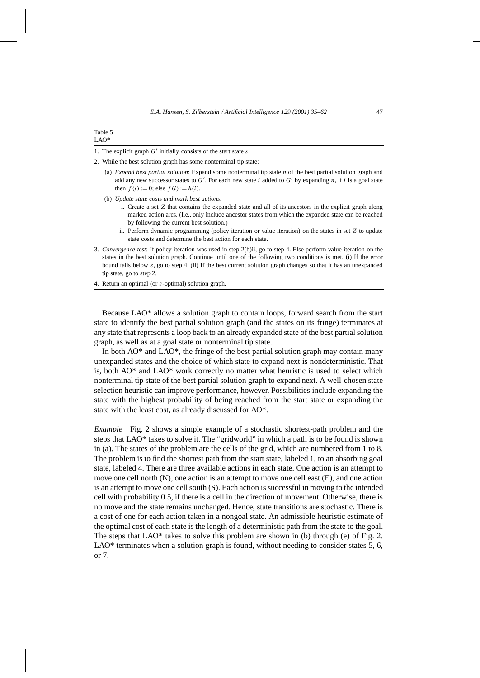| Table |
|-------|
| LAOP. |

1. The explicit graph  $G'$  initially consists of the start state  $s$ .

- 2. While the best solution graph has some nonterminal tip state:
	- (a) *Expand best partial solution*: Expand some nonterminal tip state *n* of the best partial solution graph and add any new successor states to  $G'$ . For each new state *i* added to  $G'$  by expanding *n*, if *i* is a goal state then  $f(i) := 0$ ; else  $f(i) := h(i)$ .
	- (b) *Update state costs and mark best actions*:
		- i. Create a set *Z* that contains the expanded state and all of its ancestors in the explicit graph along marked action arcs. (I.e., only include ancestor states from which the expanded state can be reached by following the current best solution.)
		- ii. Perform dynamic programming (policy iteration or value iteration) on the states in set *Z* to update state costs and determine the best action for each state.
- 3. *Convergence test*: If policy iteration was used in step 2(b)ii, go to step 4. Else perform value iteration on the states in the best solution graph. Continue until one of the following two conditions is met. (i) If the error bound falls below  $\varepsilon$ , go to step 4. (ii) If the best current solution graph changes so that it has an unexpanded tip state, go to step 2.
- 4. Return an optimal (or *ε*-optimal) solution graph.

Because LAO\* allows a solution graph to contain loops, forward search from the start state to identify the best partial solution graph (and the states on its fringe) terminates at any state that represents a loop back to an already expanded state of the best partial solution graph, as well as at a goal state or nonterminal tip state.

In both AO\* and LAO\*, the fringe of the best partial solution graph may contain many unexpanded states and the choice of which state to expand next is nondeterministic. That is, both AO\* and LAO\* work correctly no matter what heuristic is used to select which nonterminal tip state of the best partial solution graph to expand next. A well-chosen state selection heuristic can improve performance, however. Possibilities include expanding the state with the highest probability of being reached from the start state or expanding the state with the least cost, as already discussed for AO\*.

*Example* Fig. 2 shows a simple example of a stochastic shortest-path problem and the steps that LAO\* takes to solve it. The "gridworld" in which a path is to be found is shown in (a). The states of the problem are the cells of the grid, which are numbered from 1 to 8. The problem is to find the shortest path from the start state, labeled 1, to an absorbing goal state, labeled 4. There are three available actions in each state. One action is an attempt to move one cell north (N), one action is an attempt to move one cell east (E), and one action is an attempt to move one cell south (S). Each action is successful in moving to the intended cell with probability 0.5, if there is a cell in the direction of movement. Otherwise, there is no move and the state remains unchanged. Hence, state transitions are stochastic. There is a cost of one for each action taken in a nongoal state. An admissible heuristic estimate of the optimal cost of each state is the length of a deterministic path from the state to the goal. The steps that  $LAO^*$  takes to solve this problem are shown in (b) through (e) of Fig. 2. LAO $*$  terminates when a solution graph is found, without needing to consider states 5, 6, or 7.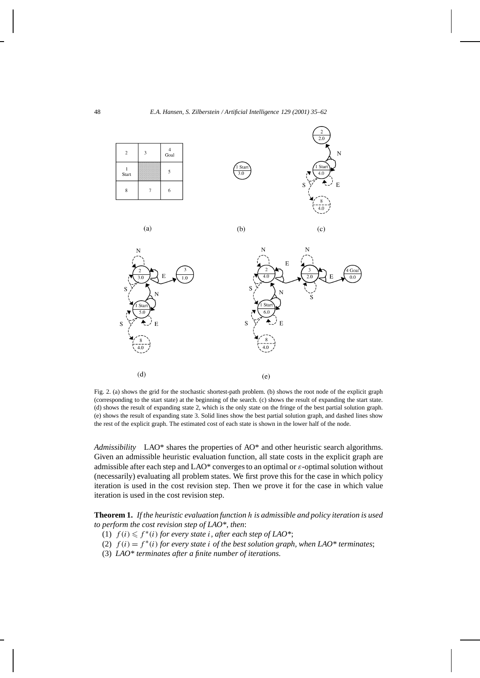



Fig. 2. (a) shows the grid for the stochastic shortest-path problem. (b) shows the root node of the explicit graph (corresponding to the start state) at the beginning of the search. (c) shows the result of expanding the start state. (d) shows the result of expanding state 2, which is the only state on the fringe of the best partial solution graph. (e) shows the result of expanding state 3. Solid lines show the best partial solution graph, and dashed lines show the rest of the explicit graph. The estimated cost of each state is shown in the lower half of the node.

*Admissibility* LAO\* shares the properties of AO\* and other heuristic search algorithms. Given an admissible heuristic evaluation function, all state costs in the explicit graph are admissible after each step and LAO\* converges to an optimal or *ε*-optimal solution without (necessarily) evaluating all problem states. We first prove this for the case in which policy iteration is used in the cost revision step. Then we prove it for the case in which value iteration is used in the cost revision step.

**Theorem 1.** *If the heuristic evaluation function h is admissible and policy iteration is used to perform the cost revision step of LAO\*, then*:

- (1)  $f(i) \leq f^*(i)$  *for every state i, after each step of LAO\**;
- (2)  $f(i) = f^*(i)$  *for every state i of the best solution graph, when LAO\* terminates;*
- (3) *LAO\* terminates after a finite number of iterations.*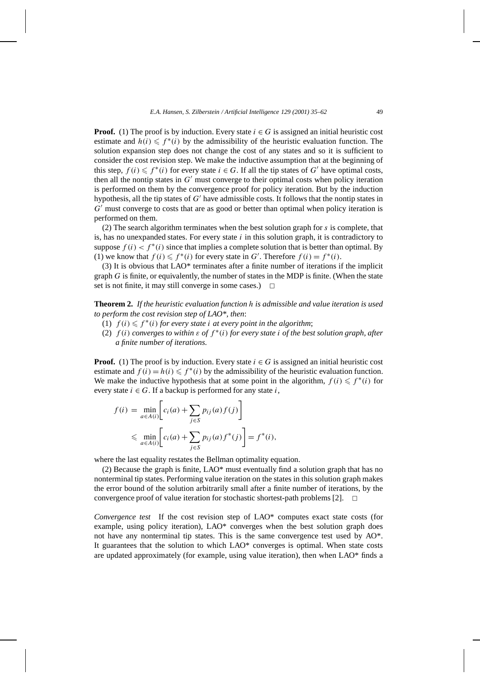**Proof.** (1) The proof is by induction. Every state  $i \in G$  is assigned an initial heuristic cost estimate and  $h(i) \leq f^*(i)$  by the admissibility of the heuristic evaluation function. The solution expansion step does not change the cost of any states and so it is sufficient to consider the cost revision step. We make the inductive assumption that at the beginning of this step,  $f(i) \leq f^*(i)$  for every state  $i \in G$ . If all the tip states of *G'* have optimal costs, then all the nontip states in *G'* must converge to their optimal costs when policy iteration is performed on them by the convergence proof for policy iteration. But by the induction hypothesis, all the tip states of  $G'$  have admissible costs. It follows that the nontip states in *G*' must converge to costs that are as good or better than optimal when policy iteration is performed on them.

(2) The search algorithm terminates when the best solution graph for *s* is complete, that is, has no unexpanded states. For every state *i* in this solution graph, it is contradictory to suppose  $f(i) < f^*(i)$  since that implies a complete solution that is better than optimal. By (1) we know that  $f(i) \leq f^*(i)$  for every state in *G*'. Therefore  $f(i) = f^*(i)$ .

(3) It is obvious that LAO\* terminates after a finite number of iterations if the implicit graph *G* is finite, or equivalently, the number of states in the MDP is finite. (When the state set is not finite, it may still converge in some cases.)  $\Box$ 

**Theorem 2.** *If the heuristic evaluation function h is admissible and value iteration is used to perform the cost revision step of LAO\*, then*:

- (1)  $f(i) \leq f^*(i)$  *for every state i at every point in the algorithm*;
- (2) *f (i) converges to within ε of f* ∗*(i) for every state i of the best solution graph, after a finite number of iterations.*

**Proof.** (1) The proof is by induction. Every state  $i \in G$  is assigned an initial heuristic cost estimate and  $f(i) = h(i) \leq f^*(i)$  by the admissibility of the heuristic evaluation function. We make the inductive hypothesis that at some point in the algorithm,  $f(i) \leq f^*(i)$  for every state  $i \in G$ . If a backup is performed for any state  $i$ ,

$$
f(i) = \min_{a \in A(i)} \left[ c_i(a) + \sum_{j \in S} p_{ij}(a) f(j) \right]
$$
  

$$
\leq \min_{a \in A(i)} \left[ c_i(a) + \sum_{j \in S} p_{ij}(a) f^*(j) \right] = f^*(i),
$$

where the last equality restates the Bellman optimality equation.

(2) Because the graph is finite, LAO\* must eventually find a solution graph that has no nonterminal tip states. Performing value iteration on the states in this solution graph makes the error bound of the solution arbitrarily small after a finite number of iterations, by the convergence proof of value iteration for stochastic shortest-path problems [2].  $\Box$ 

*Convergence test* If the cost revision step of LAO\* computes exact state costs (for example, using policy iteration), LAO\* converges when the best solution graph does not have any nonterminal tip states. This is the same convergence test used by AO\*. It guarantees that the solution to which LAO\* converges is optimal. When state costs are updated approximately (for example, using value iteration), then when LAO\* finds a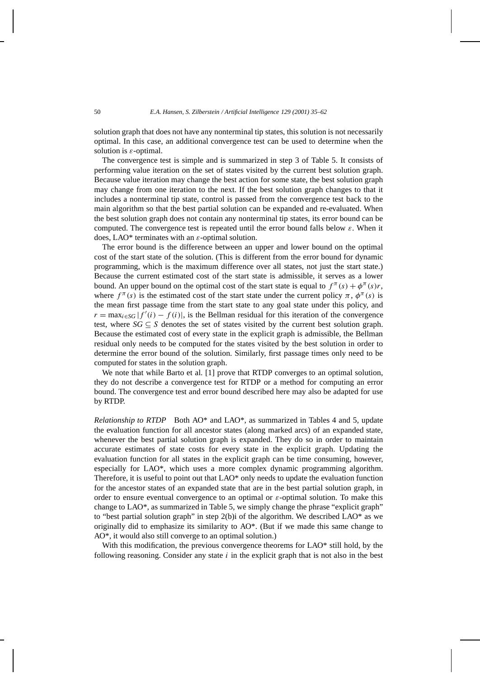solution graph that does not have any nonterminal tip states, this solution is not necessarily optimal. In this case, an additional convergence test can be used to determine when the solution is *ε*-optimal.

The convergence test is simple and is summarized in step 3 of Table 5. It consists of performing value iteration on the set of states visited by the current best solution graph. Because value iteration may change the best action for some state, the best solution graph may change from one iteration to the next. If the best solution graph changes to that it includes a nonterminal tip state, control is passed from the convergence test back to the main algorithm so that the best partial solution can be expanded and re-evaluated. When the best solution graph does not contain any nonterminal tip states, its error bound can be computed. The convergence test is repeated until the error bound falls below *ε*. When it does, LAO\* terminates with an *ε*-optimal solution.

The error bound is the difference between an upper and lower bound on the optimal cost of the start state of the solution. (This is different from the error bound for dynamic programming, which is the maximum difference over all states, not just the start state.) Because the current estimated cost of the start state is admissible, it serves as a lower bound. An upper bound on the optimal cost of the start state is equal to  $f^{\pi}(s) + \phi^{\pi}(s)r$ , where  $f^{\pi}(s)$  is the estimated cost of the start state under the current policy  $\pi$ ,  $\phi^{\pi}(s)$  is the mean first passage time from the start state to any goal state under this policy, and  $r = \max_{i \in SG} |f'(i) - f(i)|$ , is the Bellman residual for this iteration of the convergence test, where  $SG \subseteq S$  denotes the set of states visited by the current best solution graph. Because the estimated cost of every state in the explicit graph is admissible, the Bellman residual only needs to be computed for the states visited by the best solution in order to determine the error bound of the solution. Similarly, first passage times only need to be computed for states in the solution graph.

We note that while Barto et al. [1] prove that RTDP converges to an optimal solution, they do not describe a convergence test for RTDP or a method for computing an error bound. The convergence test and error bound described here may also be adapted for use by RTDP.

*Relationship to RTDP* Both AO\* and LAO\*, as summarized in Tables 4 and 5, update the evaluation function for all ancestor states (along marked arcs) of an expanded state, whenever the best partial solution graph is expanded. They do so in order to maintain accurate estimates of state costs for every state in the explicit graph. Updating the evaluation function for all states in the explicit graph can be time consuming, however, especially for LAO\*, which uses a more complex dynamic programming algorithm. Therefore, it is useful to point out that LAO\* only needs to update the evaluation function for the ancestor states of an expanded state that are in the best partial solution graph, in order to ensure eventual convergence to an optimal or *ε*-optimal solution. To make this change to LAO\*, as summarized in Table 5, we simply change the phrase "explicit graph" to "best partial solution graph" in step 2(b)i of the algorithm. We described LAO\* as we originally did to emphasize its similarity to AO\*. (But if we made this same change to AO\*, it would also still converge to an optimal solution.)

With this modification, the previous convergence theorems for LAO\* still hold, by the following reasoning. Consider any state *i* in the explicit graph that is not also in the best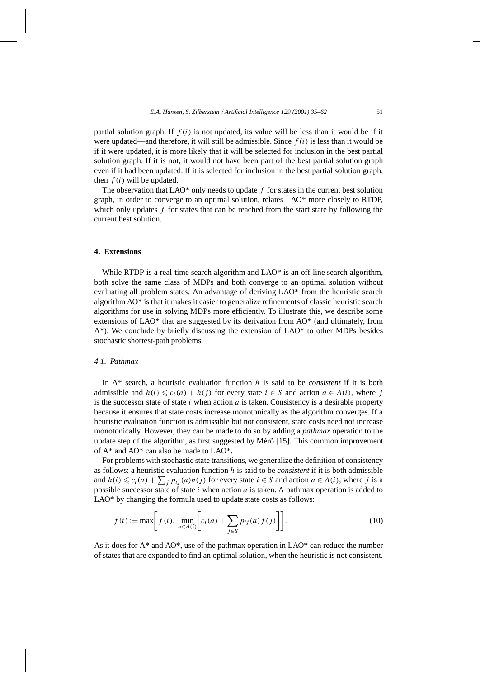partial solution graph. If  $f(i)$  is not updated, its value will be less than it would be if it were updated—and therefore, it will still be admissible. Since *f (i)* is less than it would be if it were updated, it is more likely that it will be selected for inclusion in the best partial solution graph. If it is not, it would not have been part of the best partial solution graph even if it had been updated. If it is selected for inclusion in the best partial solution graph, then  $f(i)$  will be updated.

The observation that LAO\* only needs to update *f* for states in the current best solution graph, in order to converge to an optimal solution, relates LAO\* more closely to RTDP, which only updates *f* for states that can be reached from the start state by following the current best solution.

## **4. Extensions**

While RTDP is a real-time search algorithm and LAO\* is an off-line search algorithm, both solve the same class of MDPs and both converge to an optimal solution without evaluating all problem states. An advantage of deriving LAO\* from the heuristic search algorithm AO\* is that it makes it easier to generalize refinements of classic heuristic search algorithms for use in solving MDPs more efficiently. To illustrate this, we describe some extensions of LAO\* that are suggested by its derivation from AO\* (and ultimately, from A\*). We conclude by briefly discussing the extension of LAO\* to other MDPs besides stochastic shortest-path problems.

## *4.1. Pathmax*

In A\* search, a heuristic evaluation function *h* is said to be *consistent* if it is both admissible and  $h(i) \leq c_i(a) + h(j)$  for every state  $i \in S$  and action  $a \in A(i)$ , where *j* is the successor state of state  $i$  when action  $a$  is taken. Consistency is a desirable property because it ensures that state costs increase monotonically as the algorithm converges. If a heuristic evaluation function is admissible but not consistent, state costs need not increase monotonically. However, they can be made to do so by adding a *pathmax* operation to the update step of the algorithm, as first suggested by Mérõ [15]. This common improvement of A\* and AO\* can also be made to LAO\*.

For problems with stochastic state transitions, we generalize the definition of consistency as follows: a heuristic evaluation function *h* is said to be *consistent* if it is both admissible and  $h(i) \le c_i(a) + \sum_j p_{ij}(a)h(j)$  for every state  $i \in S$  and action  $a \in A(i)$ , where *j* is a possible successor state of state *i* when action *a* is taken. A pathmax operation is added to LAO\* by changing the formula used to update state costs as follows:

$$
f(i) := \max\bigg[f(i), \ \min_{a \in A(i)} \bigg[c_i(a) + \sum_{j \in S} p_{ij}(a)f(j)\bigg]\bigg].
$$
 (10)

As it does for  $A^*$  and  $AO^*$ , use of the pathmax operation in  $LAO^*$  can reduce the number of states that are expanded to find an optimal solution, when the heuristic is not consistent.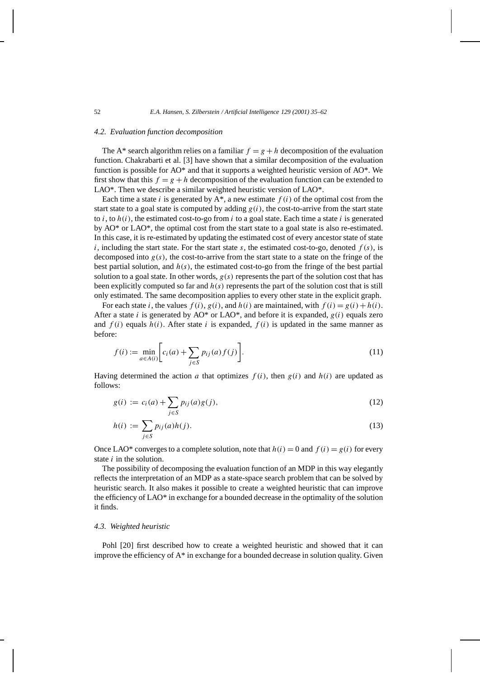#### *4.2. Evaluation function decomposition*

The A\* search algorithm relies on a familiar  $f = g + h$  decomposition of the evaluation function. Chakrabarti et al. [3] have shown that a similar decomposition of the evaluation function is possible for  $AO^*$  and that it supports a weighted heuristic version of  $AO^*$ . We first show that this  $f = g + h$  decomposition of the evaluation function can be extended to LAO\*. Then we describe a similar weighted heuristic version of LAO\*.

Each time a state *i* is generated by  $A^*$ , a new estimate  $f(i)$  of the optimal cost from the start state to a goal state is computed by adding  $g(i)$ , the cost-to-arrive from the start state to *i*, to  $h(i)$ , the estimated cost-to-go from *i* to a goal state. Each time a state *i* is generated by AO\* or LAO\*, the optimal cost from the start state to a goal state is also re-estimated. In this case, it is re-estimated by updating the estimated cost of every ancestor state of state *i*, including the start state. For the start state *s*, the estimated cost-to-go, denoted  $f(s)$ , is decomposed into  $g(s)$ , the cost-to-arrive from the start state to a state on the fringe of the best partial solution, and  $h(s)$ , the estimated cost-to-go from the fringe of the best partial solution to a goal state. In other words,  $g(s)$  represents the part of the solution cost that has been explicitly computed so far and  $h(s)$  represents the part of the solution cost that is still only estimated. The same decomposition applies to every other state in the explicit graph.

For each state *i*, the values  $f(i)$ ,  $g(i)$ , and  $h(i)$  are maintained, with  $f(i) = g(i) + h(i)$ . After a state *i* is generated by AO\* or LAO\*, and before it is expanded,  $g(i)$  equals zero and  $f(i)$  equals  $h(i)$ . After state *i* is expanded,  $f(i)$  is updated in the same manner as before:

$$
f(i) := \min_{a \in A(i)} \bigg[ c_i(a) + \sum_{j \in S} p_{ij}(a) f(j) \bigg].
$$
 (11)

Having determined the action *a* that optimizes  $f(i)$ , then  $g(i)$  and  $h(i)$  are updated as follows:

$$
g(i) := c_i(a) + \sum_{j \in S} p_{ij}(a)g(j),
$$
\n(12)

$$
h(i) := \sum_{j \in S} p_{ij}(a)h(j).
$$
\n<sup>(13)</sup>

Once LAO<sup>\*</sup> converges to a complete solution, note that  $h(i) = 0$  and  $f(i) = g(i)$  for every state *i* in the solution.

The possibility of decomposing the evaluation function of an MDP in this way elegantly reflects the interpretation of an MDP as a state-space search problem that can be solved by heuristic search. It also makes it possible to create a weighted heuristic that can improve the efficiency of LAO\* in exchange for a bounded decrease in the optimality of the solution it finds.

# *4.3. Weighted heuristic*

Pohl [20] first described how to create a weighted heuristic and showed that it can improve the efficiency of A\* in exchange for a bounded decrease in solution quality. Given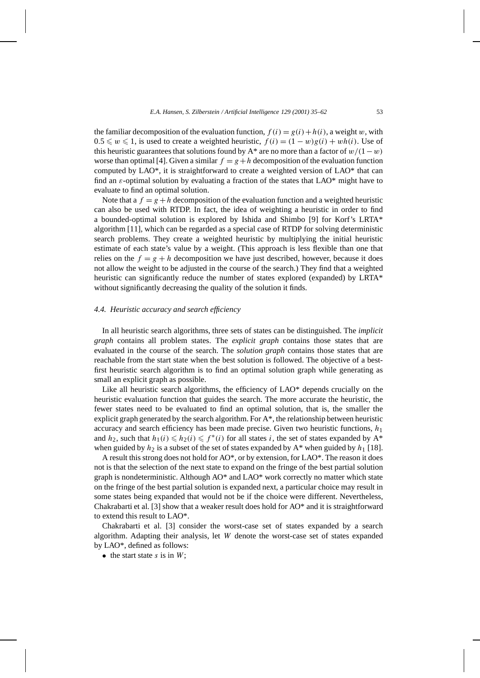the familiar decomposition of the evaluation function,  $f(i) = g(i) + h(i)$ , a weight *w*, with 0.5  $\leq w \leq 1$ , is used to create a weighted heuristic,  $f(i) = (1 - w)g(i) + wh(i)$ . Use of this heuristic guarantees that solutions found by A<sup>\*</sup> are no more than a factor of  $w/(1-w)$ worse than optimal [4]. Given a similar  $f = g + h$  decomposition of the evaluation function computed by LAO\*, it is straightforward to create a weighted version of LAO\* that can find an  $\varepsilon$ -optimal solution by evaluating a fraction of the states that LAO\* might have to evaluate to find an optimal solution.

Note that a  $f = g + h$  decomposition of the evaluation function and a weighted heuristic can also be used with RTDP. In fact, the idea of weighting a heuristic in order to find a bounded-optimal solution is explored by Ishida and Shimbo [9] for Korf's LRTA\* algorithm [11], which can be regarded as a special case of RTDP for solving deterministic search problems. They create a weighted heuristic by multiplying the initial heuristic estimate of each state's value by a weight. (This approach is less flexible than one that relies on the  $f = g + h$  decomposition we have just described, however, because it does not allow the weight to be adjusted in the course of the search.) They find that a weighted heuristic can significantly reduce the number of states explored (expanded) by LRTA\* without significantly decreasing the quality of the solution it finds.

# *4.4. Heuristic accuracy and search efficiency*

In all heuristic search algorithms, three sets of states can be distinguished. The *implicit graph* contains all problem states. The *explicit graph* contains those states that are evaluated in the course of the search. The *solution graph* contains those states that are reachable from the start state when the best solution is followed. The objective of a bestfirst heuristic search algorithm is to find an optimal solution graph while generating as small an explicit graph as possible.

Like all heuristic search algorithms, the efficiency of LAO\* depends crucially on the heuristic evaluation function that guides the search. The more accurate the heuristic, the fewer states need to be evaluated to find an optimal solution, that is, the smaller the explicit graph generated by the search algorithm. For A\*, the relationship between heuristic accuracy and search efficiency has been made precise. Given two heuristic functions,  $h_1$ and  $h_2$ , such that  $h_1(i) \leq h_2(i) \leq f^*(i)$  for all states *i*, the set of states expanded by A<sup>\*</sup> when guided by  $h_2$  is a subset of the set of states expanded by  $A^*$  when guided by  $h_1$  [18].

A result this strong does not hold for AO\*, or by extension, for LAO\*. The reason it does not is that the selection of the next state to expand on the fringe of the best partial solution graph is nondeterministic. Although AO\* and LAO\* work correctly no matter which state on the fringe of the best partial solution is expanded next, a particular choice may result in some states being expanded that would not be if the choice were different. Nevertheless, Chakrabarti et al. [3] show that a weaker result does hold for AO\* and it is straightforward to extend this result to LAO\*.

Chakrabarti et al. [3] consider the worst-case set of states expanded by a search algorithm. Adapting their analysis, let *W* denote the worst-case set of states expanded by LAO\*, defined as follows:

 $\bullet$  the start state *s* is in *W*;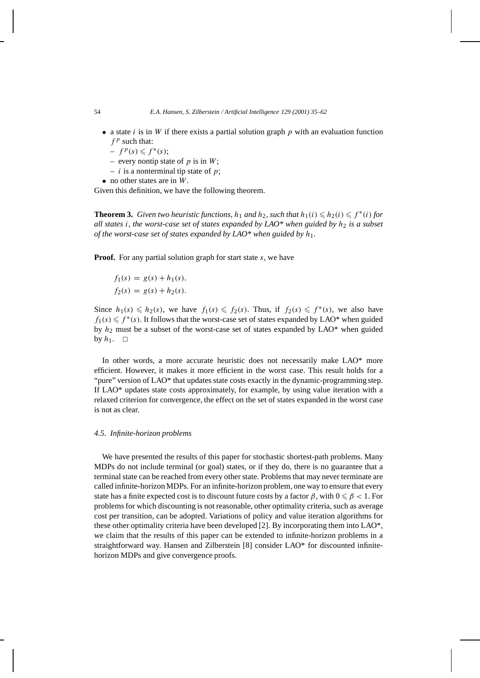- a state  $i$  is in  $W$  if there exists a partial solution graph  $p$  with an evaluation function  $f<sup>p</sup>$  such that:
	- $f<sup>p</sup>(s)$  ≤  $f<sup>*</sup>(s)$ ;
	- every nontip state of *p* is in *W*;
	- $i$  is a nonterminal tip state of *p*;
- no other states are in *W*.

Given this definition, we have the following theorem.

**Theorem 3.** *Given two heuristic functions,*  $h_1$  *and*  $h_2$ *, such that*  $h_1(i) \leq h_2(i) \leq f^*(i)$  *for all states i, the worst-case set of states expanded by LAO\* when guided by h*<sup>2</sup> *is a subset of the worst-case set of states expanded by LAO\* when guided by h*1*.*

**Proof.** For any partial solution graph for start state *s*, we have

$$
f_1(s) = g(s) + h_1(s),
$$
  

$$
f_2(s) = g(s) + h_2(s).
$$

Since  $h_1(s) \leq h_2(s)$ , we have  $f_1(s) \leq f_2(s)$ . Thus, if  $f_2(s) \leq f^*(s)$ , we also have  $f_1(s) \leq f^*(s)$ . It follows that the worst-case set of states expanded by LAO\* when guided by *h*<sup>2</sup> must be a subset of the worst-case set of states expanded by LAO\* when guided by  $h_1$ .  $\Box$ 

In other words, a more accurate heuristic does not necessarily make LAO\* more efficient. However, it makes it more efficient in the worst case. This result holds for a "pure" version of LAO\* that updates state costs exactly in the dynamic-programming step. If LAO\* updates state costs approximately, for example, by using value iteration with a relaxed criterion for convergence, the effect on the set of states expanded in the worst case is not as clear.

## *4.5. Infinite-horizon problems*

We have presented the results of this paper for stochastic shortest-path problems. Many MDPs do not include terminal (or goal) states, or if they do, there is no guarantee that a terminal state can be reached from every other state. Problems that may never terminate are called infinite-horizon MDPs. For an infinite-horizon problem, one way to ensure that every state has a finite expected cost is to discount future costs by a factor  $\beta$ , with  $0 \le \beta < 1$ . For problems for which discounting is not reasonable, other optimality criteria, such as average cost per transition, can be adopted. Variations of policy and value iteration algorithms for these other optimality criteria have been developed [2]. By incorporating them into LAO\*, we claim that the results of this paper can be extended to infinite-horizon problems in a straightforward way. Hansen and Zilberstein [8] consider LAO\* for discounted infinitehorizon MDPs and give convergence proofs.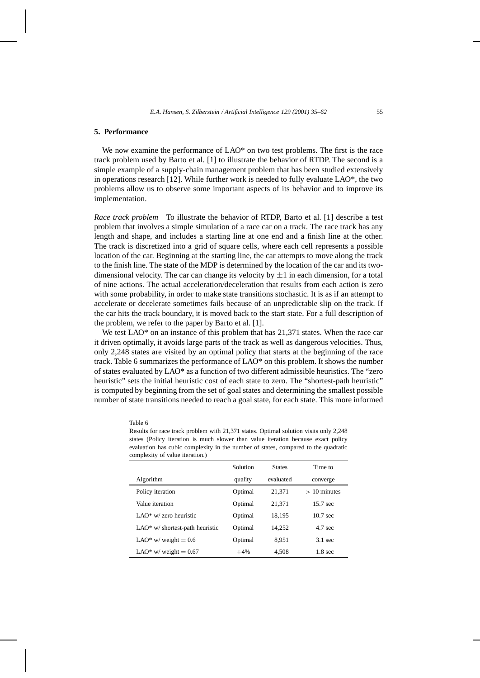## **5. Performance**

We now examine the performance of LAO<sup>\*</sup> on two test problems. The first is the race track problem used by Barto et al. [1] to illustrate the behavior of RTDP. The second is a simple example of a supply-chain management problem that has been studied extensively in operations research [12]. While further work is needed to fully evaluate LAO\*, the two problems allow us to observe some important aspects of its behavior and to improve its implementation.

*Race track problem* To illustrate the behavior of RTDP, Barto et al. [1] describe a test problem that involves a simple simulation of a race car on a track. The race track has any length and shape, and includes a starting line at one end and a finish line at the other. The track is discretized into a grid of square cells, where each cell represents a possible location of the car. Beginning at the starting line, the car attempts to move along the track to the finish line. The state of the MDP is determined by the location of the car and its twodimensional velocity. The car can change its velocity by  $\pm 1$  in each dimension, for a total of nine actions. The actual acceleration/deceleration that results from each action is zero with some probability, in order to make state transitions stochastic. It is as if an attempt to accelerate or decelerate sometimes fails because of an unpredictable slip on the track. If the car hits the track boundary, it is moved back to the start state. For a full description of the problem, we refer to the paper by Barto et al. [1].

We test  $LAO^*$  on an instance of this problem that has 21,371 states. When the race car it driven optimally, it avoids large parts of the track as well as dangerous velocities. Thus, only 2,248 states are visited by an optimal policy that starts at the beginning of the race track. Table 6 summarizes the performance of LAO\* on this problem. It shows the number of states evaluated by LAO\* as a function of two different admissible heuristics. The "zero heuristic" sets the initial heuristic cost of each state to zero. The "shortest-path heuristic" is computed by beginning from the set of goal states and determining the smallest possible number of state transitions needed to reach a goal state, for each state. This more informed

| complexity of value heration.)  |          |               |                    |  |  |
|---------------------------------|----------|---------------|--------------------|--|--|
|                                 | Solution | <b>States</b> | Time to            |  |  |
| Algorithm                       | quality  | evaluated     | converge           |  |  |
| Policy iteration                | Optimal  | 21,371        | $>10$ minutes      |  |  |
| Value iteration                 | Optimal  | 21,371        | 15.7 sec           |  |  |
| LAO* $w$ zero heuristic         | Optimal  | 18,195        | $10.7 \text{ sec}$ |  |  |
| LAO* w/ shortest-path heuristic | Optimal  | 14,252        | 4.7 sec            |  |  |
| LAO* w/ weight = $0.6$          | Optimal  | 8.951         | $3.1 \text{ sec}$  |  |  |
| LAO* w/ weight = $0.67$         | $+4%$    | 4.508         | $1.8$ sec          |  |  |

Table 6

Results for race track problem with 21,371 states. Optimal solution visits only 2,248 states (Policy iteration is much slower than value iteration because exact policy evaluation has cubic complexity in the number of states, compared to the quadratic complexity of value iteration.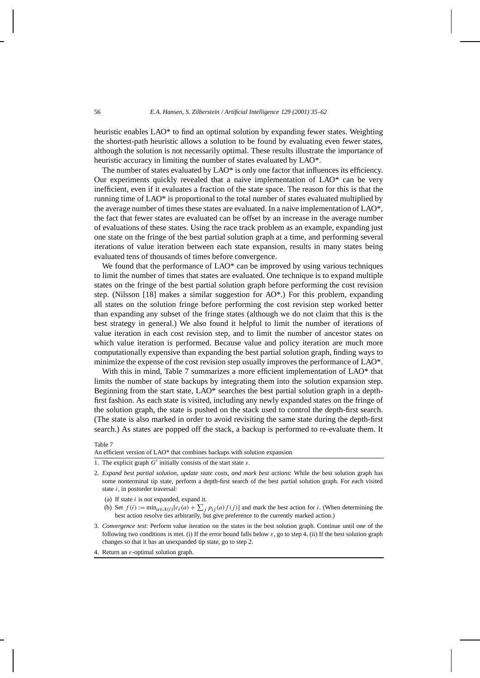heuristic enables LAO\* to find an optimal solution by expanding fewer states. Weighting the shortest-path heuristic allows a solution to be found by evaluating even fewer states, although the solution is not necessarily optimal. These results illustrate the importance of heuristic accuracy in limiting the number of states evaluated by LAO\*.

The number of states evaluated by LAO\* is only one factor that influences its efficiency. Our experiments quickly revealed that a naive implementation of LAO\* can be very inefficient, even if it evaluates a fraction of the state space. The reason for this is that the running time of LAO\* is proportional to the total number of states evaluated multiplied by the average number of times these states are evaluated. In a naive implementation of LAO\*, the fact that fewer states are evaluated can be offset by an increase in the average number of evaluations of these states. Using the race track problem as an example, expanding just one state on the fringe of the best partial solution graph at a time, and performing several iterations of value iteration between each state expansion, results in many states being evaluated tens of thousands of times before convergence.

We found that the performance of LAO\* can be improved by using various techniques to limit the number of times that states are evaluated. One technique is to expand multiple states on the fringe of the best partial solution graph before performing the cost revision step. (Nilsson [18] makes a similar suggestion for AO\*.) For this problem, expanding all states on the solution fringe before performing the cost revision step worked better than expanding any subset of the fringe states (although we do not claim that this is the best strategy in general.) We also found it helpful to limit the number of iterations of value iteration in each cost revision step, and to limit the number of ancestor states on which value iteration is performed. Because value and policy iteration are much more computationally expensive than expanding the best partial solution graph, finding ways to minimize the expense of the cost revision step usually improves the performance of LAO\*.

With this in mind, Table 7 summarizes a more efficient implementation of LAO\* that limits the number of state backups by integrating them into the solution expansion step. Beginning from the start state, LAO\* searches the best partial solution graph in a depthfirst fashion. As each state is visited, including any newly expanded states on the fringe of the solution graph, the state is pushed on the stack used to control the depth-first search. (The state is also marked in order to avoid revisiting the same state during the depth-first search.) As states are popped off the stack, a backup is performed to re-evaluate them. It

## Table 7

An efficient version of LAO\* that combines backups with solution expansion

1. The explicit graph *G* initially consists of the start state *s*.

- 2. *Expand best partial solution, update state costs, and mark best actions*: While the best solution graph has some nonterminal tip state, perform a depth-first search of the best partial solution graph. For each visited state *i*, in postorder traversal:
	- (a) If state *i* is not expanded, expand it.
	- (b) Set  $f(i) := \min_{a \in A(i)} [c_i(a) + \sum_j p_{ij}(a) f(j)]$  and mark the best action for *i*. (When determining the best action resolve ties arbitrarily, but give preference to the currently marked action.)
- 3. *Convergence test*: Perform value iteration on the states in the best solution graph. Continue until one of the following two conditions is met. (i) If the error bound falls below  $\varepsilon$ , go to step 4. (ii) If the best solution graph changes so that it has an unexpanded tip state, go to step 2.
- 4. Return an *ε*-optimal solution graph.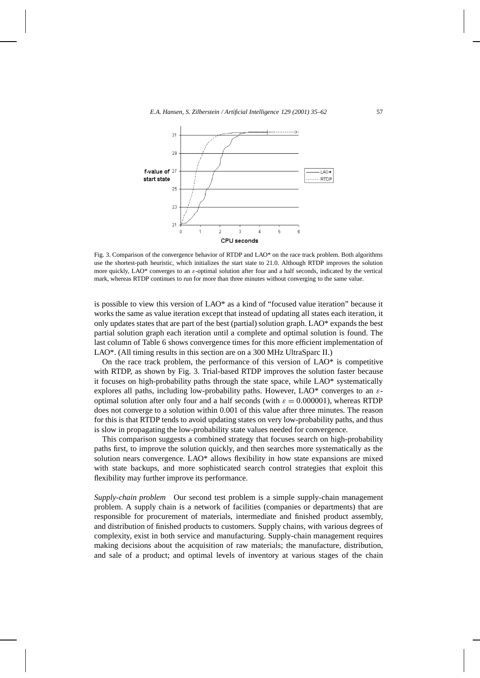

Fig. 3. Comparison of the convergence behavior of RTDP and LAO\* on the race track problem. Both algorithms use the shortest-path heuristic, which initializes the start state to 21.0. Although RTDP improves the solution more quickly, LAO\* converges to an  $\varepsilon$ -optimal solution after four and a half seconds, indicated by the vertical mark, whereas RTDP continues to run for more than three minutes without converging to the same value.

is possible to view this version of LAO\* as a kind of "focused value iteration" because it works the same as value iteration except that instead of updating all states each iteration, it only updates states that are part of the best (partial) solution graph. LAO $*$  expands the best partial solution graph each iteration until a complete and optimal solution is found. The last column of Table 6 shows convergence times for this more efficient implementation of LAO\*. (All timing results in this section are on a 300 MHz UltraSparc II.)

On the race track problem, the performance of this version of LAO\* is competitive with RTDP, as shown by Fig. 3. Trial-based RTDP improves the solution faster because it focuses on high-probability paths through the state space, while LAO\* systematically explores all paths, including low-probability paths. However, LAO\* converges to an *ε*optimal solution after only four and a half seconds (with  $\varepsilon = 0.000001$ ), whereas RTDP does not converge to a solution within 0.001 of this value after three minutes. The reason for this is that RTDP tends to avoid updating states on very low-probability paths, and thus is slow in propagating the low-probability state values needed for convergence.

This comparison suggests a combined strategy that focuses search on high-probability paths first, to improve the solution quickly, and then searches more systematically as the solution nears convergence. LAO\* allows flexibility in how state expansions are mixed with state backups, and more sophisticated search control strategies that exploit this flexibility may further improve its performance.

*Supply-chain problem* Our second test problem is a simple supply-chain management problem. A supply chain is a network of facilities (companies or departments) that are responsible for procurement of materials, intermediate and finished product assembly, and distribution of finished products to customers. Supply chains, with various degrees of complexity, exist in both service and manufacturing. Supply-chain management requires making decisions about the acquisition of raw materials; the manufacture, distribution, and sale of a product; and optimal levels of inventory at various stages of the chain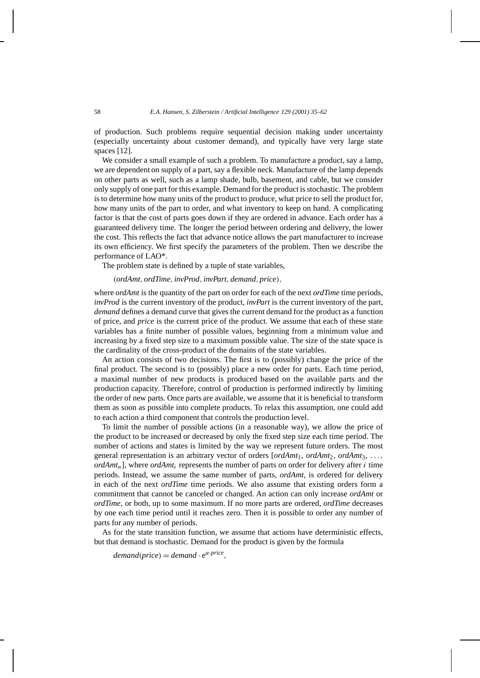of production. Such problems require sequential decision making under uncertainty (especially uncertainty about customer demand), and typically have very large state spaces [12].

We consider a small example of such a problem. To manufacture a product, say a lamp, we are dependent on supply of a part, say a flexible neck. Manufacture of the lamp depends on other parts as well, such as a lamp shade, bulb, basement, and cable, but we consider only supply of one part for this example. Demand for the product is stochastic. The problem is to determine how many units of the product to produce, what price to sell the product for, how many units of the part to order, and what inventory to keep on hand. A complicating factor is that the cost of parts goes down if they are ordered in advance. Each order has a guaranteed delivery time. The longer the period between ordering and delivery, the lower the cost. This reflects the fact that advance notice allows the part manufacturer to increase its own efficiency. We first specify the parameters of the problem. Then we describe the performance of LAO\*.

The problem state is defined by a tuple of state variables,

*(ordAmt, ordTime,invProd,invPart, demand, price),*

where *ordAmt* is the quantity of the part on order for each of the next *ordTime* time periods, *invProd* is the current inventory of the product, *invPart* is the current inventory of the part, *demand* defines a demand curve that gives the current demand for the product as a function of price, and *price* is the current price of the product. We assume that each of these state variables has a finite number of possible values, beginning from a minimum value and increasing by a fixed step size to a maximum possible value. The size of the state space is the cardinality of the cross-product of the domains of the state variables.

An action consists of two decisions. The first is to (possibly) change the price of the final product. The second is to (possibly) place a new order for parts. Each time period, a maximal number of new products is produced based on the available parts and the production capacity. Therefore, control of production is performed indirectly by limiting the order of new parts. Once parts are available, we assume that it is beneficial to transform them as soon as possible into complete products. To relax this assumption, one could add to each action a third component that controls the production level.

To limit the number of possible actions (in a reasonable way), we allow the price of the product to be increased or decreased by only the fixed step size each time period. The number of actions and states is limited by the way we represent future orders. The most general representation is an arbitrary vector of orders [*ordAmt*<sub>1</sub>, *ordAmt*<sub>2</sub>, *ordAmt*<sub>3</sub>, ..., *ordAmt<sub>n</sub>*], where *ordAmt<sub>i</sub>* represents the number of parts on order for delivery after *i* time periods. Instead, we assume the same number of parts, *ordAmt*, is ordered for delivery in each of the next *ordTime* time periods. We also assume that existing orders form a commitment that cannot be canceled or changed. An action can only increase *ordAmt* or *ordTime*, or both, up to some maximum. If no more parts are ordered, *ordTime* decreases by one each time period until it reaches zero. Then it is possible to order any number of parts for any number of periods.

As for the state transition function, we assume that actions have deterministic effects, but that demand is stochastic. Demand for the product is given by the formula

 $demand(price) = demand \cdot e^{\alpha \cdot price}$ .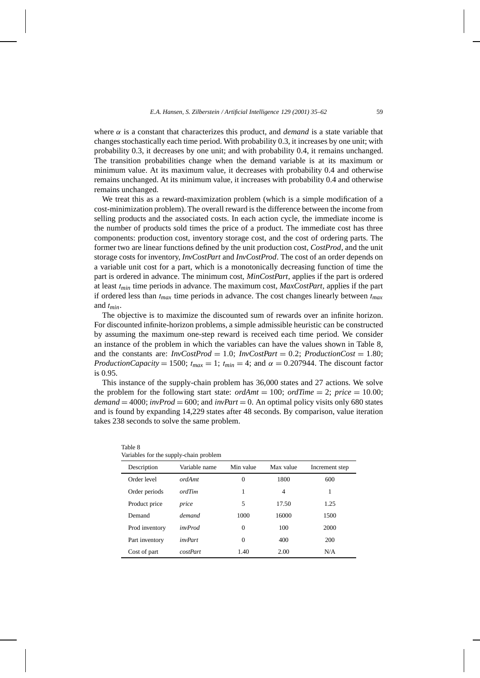where  $\alpha$  is a constant that characterizes this product, and *demand* is a state variable that changes stochastically each time period. With probability 0.3, it increases by one unit; with probability 0.3, it decreases by one unit; and with probability 0.4, it remains unchanged. The transition probabilities change when the demand variable is at its maximum or minimum value. At its maximum value, it decreases with probability 0.4 and otherwise remains unchanged. At its minimum value, it increases with probability 0.4 and otherwise remains unchanged.

We treat this as a reward-maximization problem (which is a simple modification of a cost-minimization problem). The overall reward is the difference between the income from selling products and the associated costs. In each action cycle, the immediate income is the number of products sold times the price of a product. The immediate cost has three components: production cost, inventory storage cost, and the cost of ordering parts. The former two are linear functions defined by the unit production cost, *CostProd*, and the unit storage costs for inventory, *InvCostPart* and *InvCostProd*. The cost of an order depends on a variable unit cost for a part, which is a monotonically decreasing function of time the part is ordered in advance. The minimum cost, *MinCostPart*, applies if the part is ordered at least *tmin* time periods in advance. The maximum cost, *MaxCostPart*, applies if the part if ordered less than *tmax* time periods in advance. The cost changes linearly between *tmax* and *tmin*.

The objective is to maximize the discounted sum of rewards over an infinite horizon. For discounted infinite-horizon problems, a simple admissible heuristic can be constructed by assuming the maximum one-step reward is received each time period. We consider an instance of the problem in which the variables can have the values shown in Table 8, and the constants are: *InvCostProd* = 1*.*0; *InvCostPart* = 0*.*2; *ProductionCost* = 1*.*80; *ProductionCapacity* = 1500;  $t_{max} = 1$ ;  $t_{min} = 4$ ; and  $\alpha = 0.207944$ . The discount factor is 0.95.

This instance of the supply-chain problem has 36,000 states and 27 actions. We solve the problem for the following start state:  $\text{ordAmt} = 100$ ;  $\text{ordTime} = 2$ ;  $\text{price} = 10.00$ ;  $demand = 4000$ ;  $invProd = 600$ ; and  $invPart = 0$ . An optimal policy visits only 680 states and is found by expanding 14,229 states after 48 seconds. By comparison, value iteration takes 238 seconds to solve the same problem.

| Description    | Variable name  | Min value | Max value      | Increment step |  |  |
|----------------|----------------|-----------|----------------|----------------|--|--|
| Order level    | ordAmt         | 0         | 1800           | 600            |  |  |
| Order periods  | ordTim         | 1         | $\overline{4}$ | 1              |  |  |
| Product price  | price          | 5         | 17.50          | 1.25           |  |  |
| Demand         | demand         | 1000      | 16000          | 1500           |  |  |
| Prod inventory | <i>invProd</i> | 0         | 100            | 2000           |  |  |
| Part inventory | invPart        | $\theta$  | 400            | 200            |  |  |
| Cost of part   | costPart       | 1.40      | 2.00           | N/A            |  |  |

Table 8 Variables for the supply-chain problem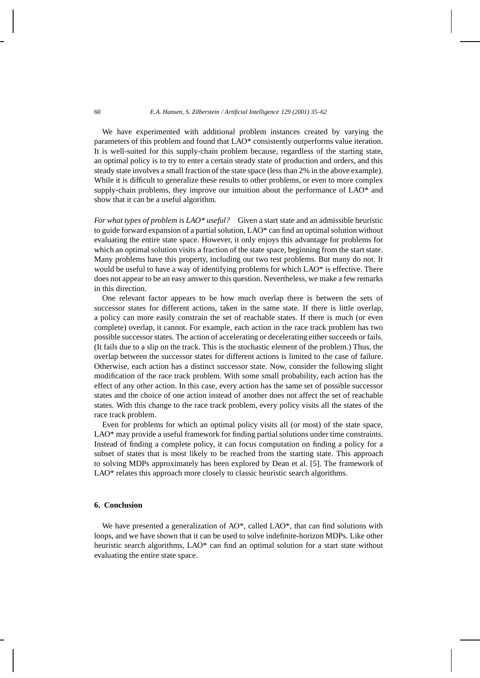We have experimented with additional problem instances created by varying the parameters of this problem and found that LAO\* consistently outperforms value iteration. It is well-suited for this supply-chain problem because, regardless of the starting state, an optimal policy is to try to enter a certain steady state of production and orders, and this steady state involves a small fraction of the state space (less than 2% in the above example). While it is difficult to generalize these results to other problems, or even to more complex supply-chain problems, they improve our intuition about the performance of LAO\* and show that it can be a useful algorithm.

*For what types of problem is LAO\* useful?* Given a start state and an admissible heuristic to guide forward expansion of a partial solution, LAO\* can find an optimal solution without evaluating the entire state space. However, it only enjoys this advantage for problems for which an optimal solution visits a fraction of the state space, beginning from the start state. Many problems have this property, including our two test problems. But many do not. It would be useful to have a way of identifying problems for which LAO\* is effective. There does not appear to be an easy answer to this question. Nevertheless, we make a few remarks in this direction.

One relevant factor appears to be how much overlap there is between the sets of successor states for different actions, taken in the same state. If there is little overlap, a policy can more easily constrain the set of reachable states. If there is much (or even complete) overlap, it cannot. For example, each action in the race track problem has two possible successor states. The action of accelerating or decelerating either succeeds or fails. (It fails due to a slip on the track. This is the stochastic element of the problem.) Thus, the overlap between the successor states for different actions is limited to the case of failure. Otherwise, each action has a distinct successor state. Now, consider the following slight modification of the race track problem. With some small probability, each action has the effect of any other action. In this case, every action has the same set of possible successor states and the choice of one action instead of another does not affect the set of reachable states. With this change to the race track problem, every policy visits all the states of the race track problem.

Even for problems for which an optimal policy visits all (or most) of the state space, LAO\* may provide a useful framework for finding partial solutions under time constraints. Instead of finding a complete policy, it can focus computation on finding a policy for a subset of states that is most likely to be reached from the starting state. This approach to solving MDPs approximately has been explored by Dean et al. [5]. The framework of LAO\* relates this approach more closely to classic heuristic search algorithms.

# **6. Conclusion**

We have presented a generalization of AO\*, called LAO\*, that can find solutions with loops, and we have shown that it can be used to solve indefinite-horizon MDPs. Like other heuristic search algorithms, LAO\* can find an optimal solution for a start state without evaluating the entire state space.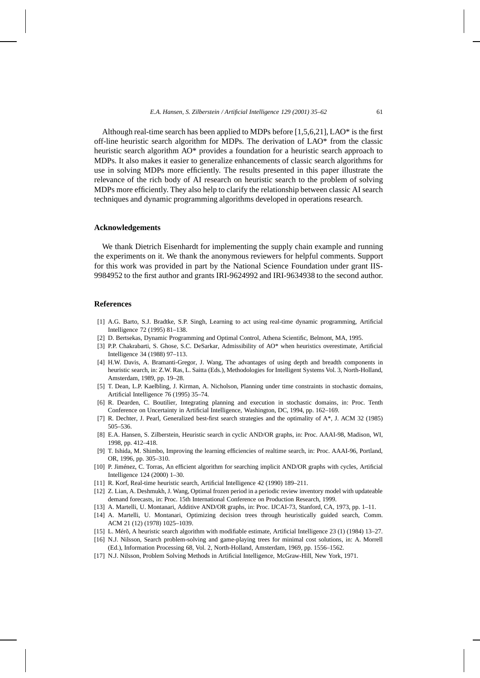Although real-time search has been applied to MDPs before [1,5,6,21], LAO\* is the first off-line heuristic search algorithm for MDPs. The derivation of LAO\* from the classic heuristic search algorithm AO\* provides a foundation for a heuristic search approach to MDPs. It also makes it easier to generalize enhancements of classic search algorithms for use in solving MDPs more efficiently. The results presented in this paper illustrate the relevance of the rich body of AI research on heuristic search to the problem of solving MDPs more efficiently. They also help to clarify the relationship between classic AI search techniques and dynamic programming algorithms developed in operations research.

## **Acknowledgements**

We thank Dietrich Eisenhardt for implementing the supply chain example and running the experiments on it. We thank the anonymous reviewers for helpful comments. Support for this work was provided in part by the National Science Foundation under grant IIS-9984952 to the first author and grants IRI-9624992 and IRI-9634938 to the second author.

## **References**

- [1] A.G. Barto, S.J. Bradtke, S.P. Singh, Learning to act using real-time dynamic programming, Artificial Intelligence 72 (1995) 81–138.
- [2] D. Bertsekas, Dynamic Programming and Optimal Control, Athena Scientific, Belmont, MA, 1995.
- [3] P.P. Chakrabarti, S. Ghose, S.C. DeSarkar, Admissibility of AO\* when heuristics overestimate, Artificial Intelligence 34 (1988) 97–113.
- [4] H.W. Davis, A. Bramanti-Gregor, J. Wang, The advantages of using depth and breadth components in heuristic search, in: Z.W. Ras, L. Saitta (Eds.), Methodologies for Intelligent Systems Vol. 3, North-Holland, Amsterdam, 1989, pp. 19–28.
- [5] T. Dean, L.P. Kaelbling, J. Kirman, A. Nicholson, Planning under time constraints in stochastic domains, Artificial Intelligence 76 (1995) 35–74.
- [6] R. Dearden, C. Boutilier, Integrating planning and execution in stochastic domains, in: Proc. Tenth Conference on Uncertainty in Artificial Intelligence, Washington, DC, 1994, pp. 162–169.
- [7] R. Dechter, J. Pearl, Generalized best-first search strategies and the optimality of A\*, J. ACM 32 (1985) 505–536.
- [8] E.A. Hansen, S. Zilberstein, Heuristic search in cyclic AND/OR graphs, in: Proc. AAAI-98, Madison, WI, 1998, pp. 412–418.
- [9] T. Ishida, M. Shimbo, Improving the learning efficiencies of realtime search, in: Proc. AAAI-96, Portland, OR, 1996, pp. 305–310.
- [10] P. Jiménez, C. Torras, An efficient algorithm for searching implicit AND/OR graphs with cycles, Artificial Intelligence 124 (2000) 1–30.
- [11] R. Korf, Real-time heuristic search, Artificial Intelligence 42 (1990) 189–211.
- [12] Z. Lian, A. Deshmukh, J. Wang, Optimal frozen period in a periodic review inventory model with updateable demand forecasts, in: Proc. 15th International Conference on Production Research, 1999.
- [13] A. Martelli, U. Montanari, Additive AND/OR graphs, in: Proc. IJCAI-73, Stanford, CA, 1973, pp. 1–11.
- [14] A. Martelli, U. Montanari, Optimizing decision trees through heuristically guided search, Comm. ACM 21 (12) (1978) 1025–1039.
- [15] L. Mérõ, A heuristic search algorithm with modifiable estimate, Artificial Intelligence 23 (1) (1984) 13–27.
- [16] N.J. Nilsson, Search problem-solving and game-playing trees for minimal cost solutions, in: A. Morrell (Ed.), Information Processing 68, Vol. 2, North-Holland, Amsterdam, 1969, pp. 1556–1562.
- [17] N.J. Nilsson, Problem Solving Methods in Artificial Intelligence, McGraw-Hill, New York, 1971.